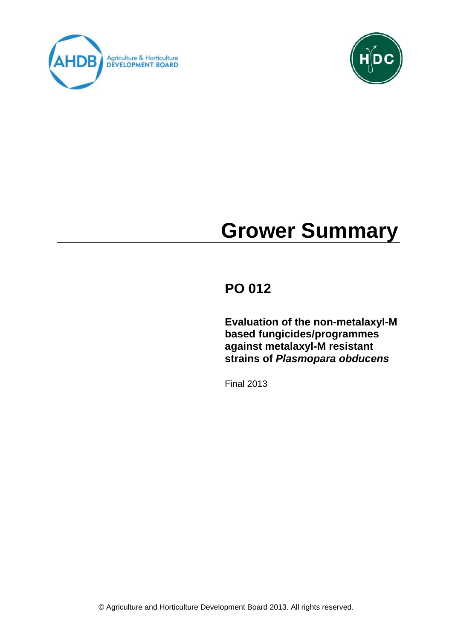



# **Grower Summary**

# **PO 012**

**Evaluation of the non-metalaxyl-M based fungicides/programmes against metalaxyl-M resistant strains of** *Plasmopara obducens*

Final 2013

© Agriculture and Horticulture Development Board 2013. All rights reserved.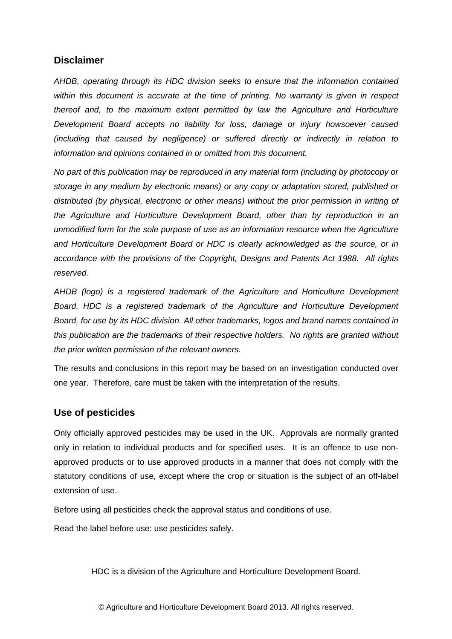# **Disclaimer**

*AHDB, operating through its HDC division seeks to ensure that the information contained within this document is accurate at the time of printing. No warranty is given in respect thereof and, to the maximum extent permitted by law the Agriculture and Horticulture Development Board accepts no liability for loss, damage or injury howsoever caused (including that caused by negligence) or suffered directly or indirectly in relation to information and opinions contained in or omitted from this document.* 

*No part of this publication may be reproduced in any material form (including by photocopy or storage in any medium by electronic means) or any copy or adaptation stored, published or distributed (by physical, electronic or other means) without the prior permission in writing of the Agriculture and Horticulture Development Board, other than by reproduction in an unmodified form for the sole purpose of use as an information resource when the Agriculture and Horticulture Development Board or HDC is clearly acknowledged as the source, or in accordance with the provisions of the Copyright, Designs and Patents Act 1988. All rights reserved.* 

*AHDB (logo) is a registered trademark of the Agriculture and Horticulture Development Board. HDC is a registered trademark of the Agriculture and Horticulture Development Board, for use by its HDC division. All other trademarks, logos and brand names contained in this publication are the trademarks of their respective holders. No rights are granted without the prior written permission of the relevant owners.* 

The results and conclusions in this report may be based on an investigation conducted over one year. Therefore, care must be taken with the interpretation of the results.

# **Use of pesticides**

Only officially approved pesticides may be used in the UK. Approvals are normally granted only in relation to individual products and for specified uses. It is an offence to use nonapproved products or to use approved products in a manner that does not comply with the statutory conditions of use, except where the crop or situation is the subject of an off-label extension of use.

Before using all pesticides check the approval status and conditions of use.

Read the label before use: use pesticides safely.

HDC is a division of the Agriculture and Horticulture Development Board.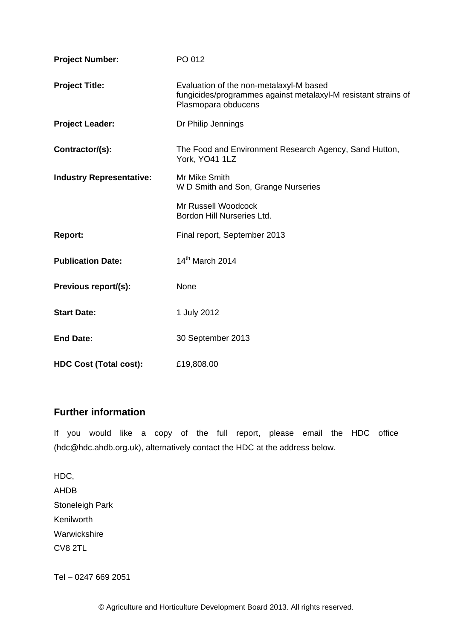| <b>Project Number:</b>          | PO 012                                                                                                                           |
|---------------------------------|----------------------------------------------------------------------------------------------------------------------------------|
| <b>Project Title:</b>           | Evaluation of the non-metalaxyl-M based<br>fungicides/programmes against metalaxyl-M resistant strains of<br>Plasmopara obducens |
| <b>Project Leader:</b>          | Dr Philip Jennings                                                                                                               |
| Contractor/(s):                 | The Food and Environment Research Agency, Sand Hutton,<br>York, YO41 1LZ                                                         |
| <b>Industry Representative:</b> | Mr Mike Smith<br>W D Smith and Son, Grange Nurseries                                                                             |
|                                 | Mr Russell Woodcock<br>Bordon Hill Nurseries Ltd.                                                                                |
| <b>Report:</b>                  | Final report, September 2013                                                                                                     |
| <b>Publication Date:</b>        | 14 <sup>th</sup> March 2014                                                                                                      |
| Previous report/(s):            | None                                                                                                                             |
| <b>Start Date:</b>              | 1 July 2012                                                                                                                      |
| <b>End Date:</b>                | 30 September 2013                                                                                                                |
| <b>HDC Cost (Total cost):</b>   | £19,808.00                                                                                                                       |

# **Further information**

If you would like a copy of the full report, please email the HDC office (hdc@hdc.ahdb.org.uk), alternatively contact the HDC at the address below.

HDC, AHDB Stoneleigh Park Kenilworth Warwickshire CV8 2TL

Tel – 0247 669 2051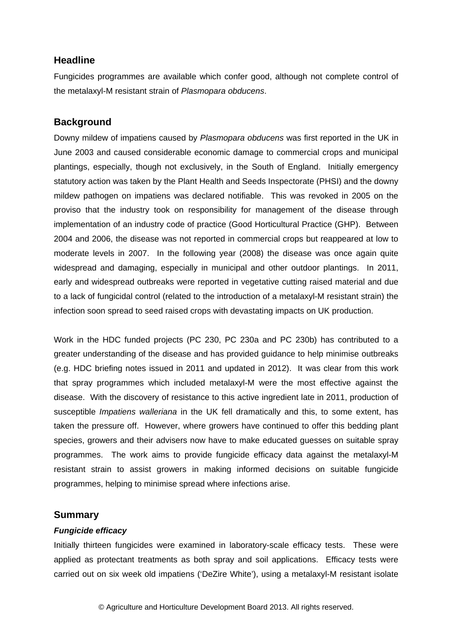# **Headline**

Fungicides programmes are available which confer good, although not complete control of the metalaxyl-M resistant strain of *Plasmopara obducens*.

# **Background**

Downy mildew of impatiens caused by *Plasmopara obducens* was first reported in the UK in June 2003 and caused considerable economic damage to commercial crops and municipal plantings, especially, though not exclusively, in the South of England. Initially emergency statutory action was taken by the Plant Health and Seeds Inspectorate (PHSI) and the downy mildew pathogen on impatiens was declared notifiable. This was revoked in 2005 on the proviso that the industry took on responsibility for management of the disease through implementation of an industry code of practice (Good Horticultural Practice (GHP). Between 2004 and 2006, the disease was not reported in commercial crops but reappeared at low to moderate levels in 2007. In the following year (2008) the disease was once again quite widespread and damaging, especially in municipal and other outdoor plantings. In 2011, early and widespread outbreaks were reported in vegetative cutting raised material and due to a lack of fungicidal control (related to the introduction of a metalaxyl-M resistant strain) the infection soon spread to seed raised crops with devastating impacts on UK production.

Work in the HDC funded projects (PC 230, PC 230a and PC 230b) has contributed to a greater understanding of the disease and has provided guidance to help minimise outbreaks (e.g. HDC briefing notes issued in 2011 and updated in 2012). It was clear from this work that spray programmes which included metalaxyl-M were the most effective against the disease. With the discovery of resistance to this active ingredient late in 2011, production of susceptible *Impatiens walleriana* in the UK fell dramatically and this, to some extent, has taken the pressure off. However, where growers have continued to offer this bedding plant species, growers and their advisers now have to make educated guesses on suitable spray programmes. The work aims to provide fungicide efficacy data against the metalaxyl-M resistant strain to assist growers in making informed decisions on suitable fungicide programmes, helping to minimise spread where infections arise.

#### **Summary**

#### *Fungicide efficacy*

Initially thirteen fungicides were examined in laboratory-scale efficacy tests. These were applied as protectant treatments as both spray and soil applications. Efficacy tests were carried out on six week old impatiens ('DeZire White'), using a metalaxyl-M resistant isolate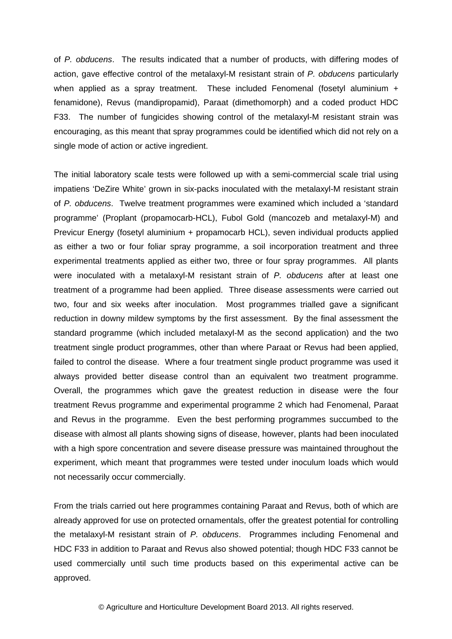of *P. obducens*. The results indicated that a number of products, with differing modes of action, gave effective control of the metalaxyl-M resistant strain of *P. obducens* particularly when applied as a spray treatment. These included Fenomenal (fosetyl aluminium + fenamidone), Revus (mandipropamid), Paraat (dimethomorph) and a coded product HDC F33. The number of fungicides showing control of the metalaxyl-M resistant strain was encouraging, as this meant that spray programmes could be identified which did not rely on a single mode of action or active ingredient.

The initial laboratory scale tests were followed up with a semi-commercial scale trial using impatiens 'DeZire White' grown in six-packs inoculated with the metalaxyl-M resistant strain of *P. obducens*. Twelve treatment programmes were examined which included a 'standard programme' (Proplant (propamocarb-HCL), Fubol Gold (mancozeb and metalaxyl-M) and Previcur Energy (fosetyl aluminium + propamocarb HCL), seven individual products applied as either a two or four foliar spray programme, a soil incorporation treatment and three experimental treatments applied as either two, three or four spray programmes. All plants were inoculated with a metalaxyl-M resistant strain of *P. obducens* after at least one treatment of a programme had been applied. Three disease assessments were carried out two, four and six weeks after inoculation. Most programmes trialled gave a significant reduction in downy mildew symptoms by the first assessment. By the final assessment the standard programme (which included metalaxyl-M as the second application) and the two treatment single product programmes, other than where Paraat or Revus had been applied, failed to control the disease. Where a four treatment single product programme was used it always provided better disease control than an equivalent two treatment programme. Overall, the programmes which gave the greatest reduction in disease were the four treatment Revus programme and experimental programme 2 which had Fenomenal, Paraat and Revus in the programme. Even the best performing programmes succumbed to the disease with almost all plants showing signs of disease, however, plants had been inoculated with a high spore concentration and severe disease pressure was maintained throughout the experiment, which meant that programmes were tested under inoculum loads which would not necessarily occur commercially.

From the trials carried out here programmes containing Paraat and Revus, both of which are already approved for use on protected ornamentals, offer the greatest potential for controlling the metalaxyl-M resistant strain of *P. obducens*. Programmes including Fenomenal and HDC F33 in addition to Paraat and Revus also showed potential; though HDC F33 cannot be used commercially until such time products based on this experimental active can be approved.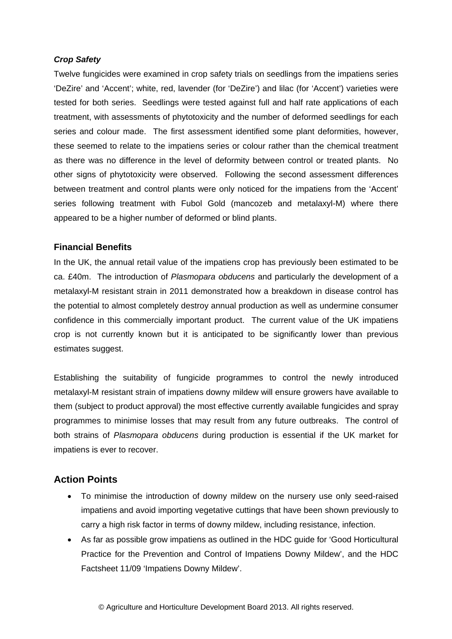#### *Crop Safety*

Twelve fungicides were examined in crop safety trials on seedlings from the impatiens series 'DeZire' and 'Accent'; white, red, lavender (for 'DeZire') and lilac (for 'Accent') varieties were tested for both series. Seedlings were tested against full and half rate applications of each treatment, with assessments of phytotoxicity and the number of deformed seedlings for each series and colour made. The first assessment identified some plant deformities, however, these seemed to relate to the impatiens series or colour rather than the chemical treatment as there was no difference in the level of deformity between control or treated plants. No other signs of phytotoxicity were observed. Following the second assessment differences between treatment and control plants were only noticed for the impatiens from the 'Accent' series following treatment with Fubol Gold (mancozeb and metalaxyl-M) where there appeared to be a higher number of deformed or blind plants.

#### **Financial Benefits**

In the UK, the annual retail value of the impatiens crop has previously been estimated to be ca. £40m. The introduction of *Plasmopara obducens* and particularly the development of a metalaxyl-M resistant strain in 2011 demonstrated how a breakdown in disease control has the potential to almost completely destroy annual production as well as undermine consumer confidence in this commercially important product. The current value of the UK impatiens crop is not currently known but it is anticipated to be significantly lower than previous estimates suggest.

Establishing the suitability of fungicide programmes to control the newly introduced metalaxyl-M resistant strain of impatiens downy mildew will ensure growers have available to them (subject to product approval) the most effective currently available fungicides and spray programmes to minimise losses that may result from any future outbreaks. The control of both strains of *Plasmopara obducens* during production is essential if the UK market for impatiens is ever to recover.

# **Action Points**

- To minimise the introduction of downy mildew on the nursery use only seed-raised impatiens and avoid importing vegetative cuttings that have been shown previously to carry a high risk factor in terms of downy mildew, including resistance, infection.
- As far as possible grow impatiens as outlined in the HDC guide for 'Good Horticultural Practice for the Prevention and Control of Impatiens Downy Mildew', and the HDC Factsheet 11/09 'Impatiens Downy Mildew'.